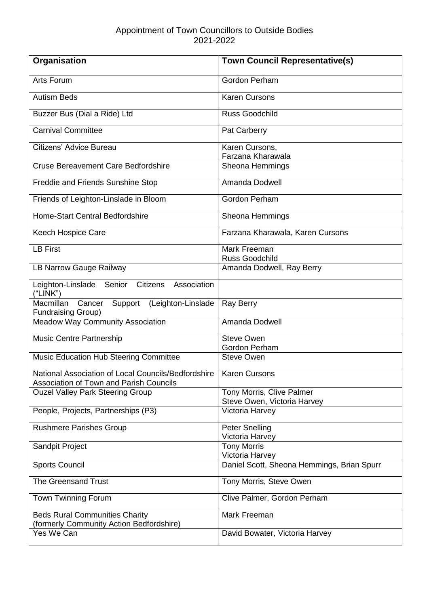| Organisation                                                                                          | <b>Town Council Representative(s)</b>                         |
|-------------------------------------------------------------------------------------------------------|---------------------------------------------------------------|
| Arts Forum                                                                                            | Gordon Perham                                                 |
| <b>Autism Beds</b>                                                                                    | <b>Karen Cursons</b>                                          |
| Buzzer Bus (Dial a Ride) Ltd                                                                          | <b>Russ Goodchild</b>                                         |
| <b>Carnival Committee</b>                                                                             | Pat Carberry                                                  |
| Citizens' Advice Bureau                                                                               | Karen Cursons,<br>Farzana Kharawala                           |
| <b>Cruse Bereavement Care Bedfordshire</b>                                                            | Sheona Hemmings                                               |
| <b>Freddie and Friends Sunshine Stop</b>                                                              | Amanda Dodwell                                                |
| Friends of Leighton-Linslade in Bloom                                                                 | Gordon Perham                                                 |
| Home-Start Central Bedfordshire                                                                       | Sheona Hemmings                                               |
| Keech Hospice Care                                                                                    | Farzana Kharawala, Karen Cursons                              |
| <b>LB First</b>                                                                                       | Mark Freeman<br><b>Russ Goodchild</b>                         |
| LB Narrow Gauge Railway                                                                               | Amanda Dodwell, Ray Berry                                     |
| Leighton-Linslade Senior Citizens Association<br>("LINK")                                             |                                                               |
| Macmillan<br>Cancer<br>Support<br>(Leighton-Linslade<br><b>Fundraising Group)</b>                     | <b>Ray Berry</b>                                              |
| <b>Meadow Way Community Association</b>                                                               | Amanda Dodwell                                                |
| Music Centre Partnership                                                                              | <b>Steve Owen</b><br>Gordon Perham                            |
| Music Education Hub Steering Committee                                                                | <b>Steve Owen</b>                                             |
| National Association of Local Councils/Bedfordshire<br><b>Association of Town and Parish Councils</b> | <b>Karen Cursons</b>                                          |
| <b>Ouzel Valley Park Steering Group</b>                                                               | Tony Morris, Clive Palmer<br>Steve Owen, Victoria Harvey      |
| People, Projects, Partnerships (P3)                                                                   | Victoria Harvey                                               |
| <b>Rushmere Parishes Group</b>                                                                        | <b>Peter Snelling</b><br>Victoria Harvey                      |
| Sandpit Project                                                                                       | <b>Tony Morris</b>                                            |
| <b>Sports Council</b>                                                                                 | Victoria Harvey<br>Daniel Scott, Sheona Hemmings, Brian Spurr |
| <b>The Greensand Trust</b>                                                                            | Tony Morris, Steve Owen                                       |
| Town Twinning Forum                                                                                   | Clive Palmer, Gordon Perham                                   |
| <b>Beds Rural Communities Charity</b>                                                                 | Mark Freeman                                                  |
| (formerly Community Action Bedfordshire)<br>Yes We Can                                                | David Bowater, Victoria Harvey                                |